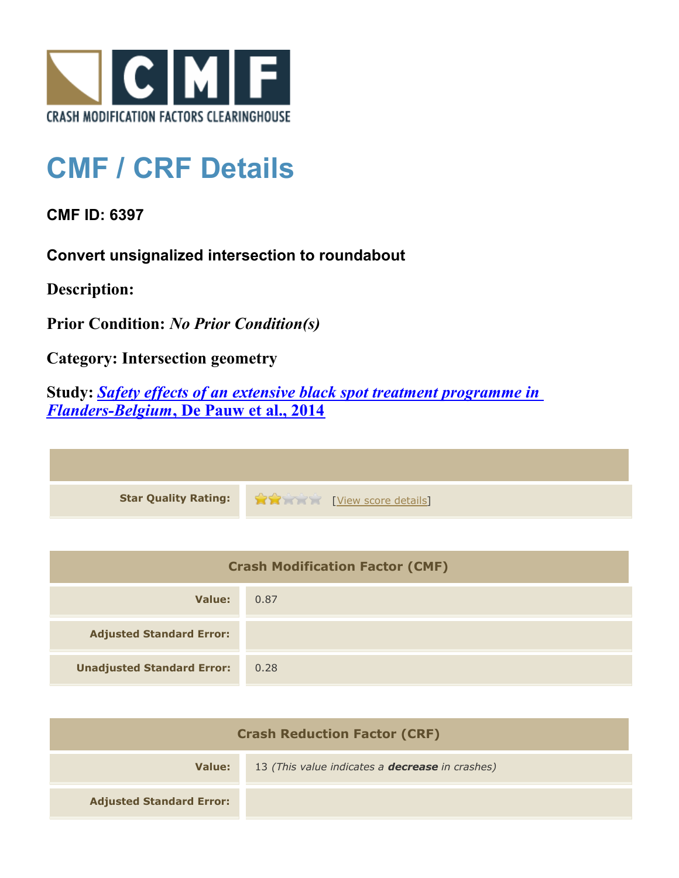

## **CMF / CRF Details**

**CMF ID: 6397**

**Convert unsignalized intersection to roundabout**

**Description:** 

**Prior Condition:** *No Prior Condition(s)*

**Category: Intersection geometry**

**Study:** *[Safety effects of an extensive black spot treatment programme in](http://www.cmfclearinghouse.org/study_detail.cfm?stid=399) [Flanders-Belgium](http://www.cmfclearinghouse.org/study_detail.cfm?stid=399)***[, De Pauw et al., 2014](http://www.cmfclearinghouse.org/study_detail.cfm?stid=399)**

| Star Quality Rating: 1999 [View score details] |
|------------------------------------------------|

| <b>Crash Modification Factor (CMF)</b> |      |
|----------------------------------------|------|
| Value:                                 | 0.87 |
| <b>Adjusted Standard Error:</b>        |      |
| <b>Unadjusted Standard Error:</b>      | 0.28 |

| <b>Crash Reduction Factor (CRF)</b> |                                                        |
|-------------------------------------|--------------------------------------------------------|
| Value:                              | 13 (This value indicates a <b>decrease</b> in crashes) |
| <b>Adjusted Standard Error:</b>     |                                                        |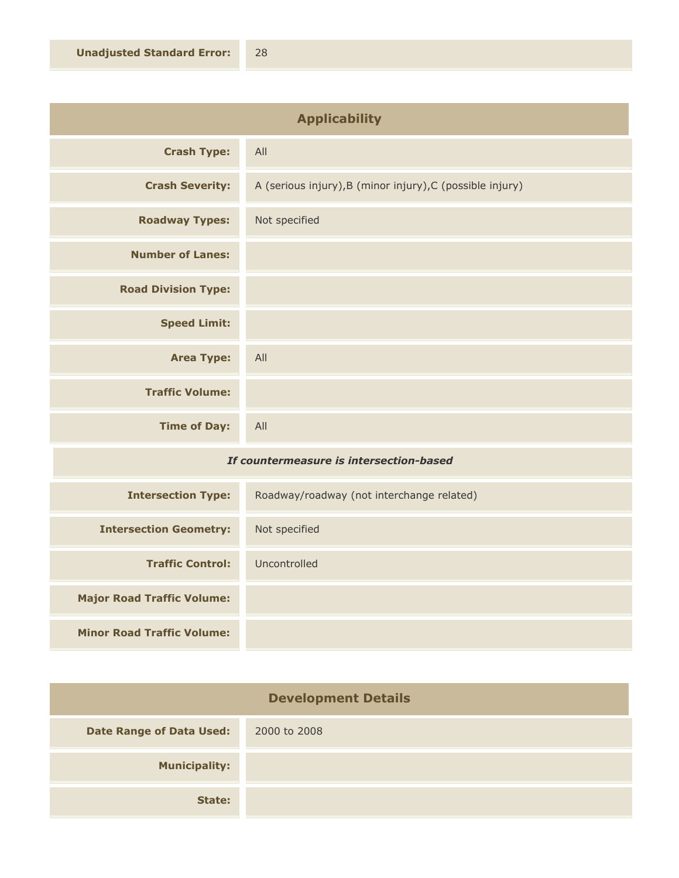| <b>Applicability</b>                          |                                                           |
|-----------------------------------------------|-----------------------------------------------------------|
| <b>Crash Type:</b>                            | All                                                       |
| <b>Crash Severity:</b>                        | A (serious injury), B (minor injury), C (possible injury) |
| <b>Roadway Types:</b>                         | Not specified                                             |
| <b>Number of Lanes:</b>                       |                                                           |
| <b>Road Division Type:</b>                    |                                                           |
| <b>Speed Limit:</b>                           |                                                           |
| <b>Area Type:</b>                             | All                                                       |
| <b>Traffic Volume:</b>                        |                                                           |
| <b>Time of Day:</b>                           | All                                                       |
| The constance against to totage attack becard |                                                           |

## *If countermeasure is intersection-based*

| <b>Intersection Type:</b>         | Roadway/roadway (not interchange related) |
|-----------------------------------|-------------------------------------------|
| <b>Intersection Geometry:</b>     | Not specified                             |
| <b>Traffic Control:</b>           | Uncontrolled                              |
| <b>Major Road Traffic Volume:</b> |                                           |
| <b>Minor Road Traffic Volume:</b> |                                           |

| <b>Development Details</b>      |              |
|---------------------------------|--------------|
| <b>Date Range of Data Used:</b> | 2000 to 2008 |
| <b>Municipality:</b>            |              |
| State:                          |              |